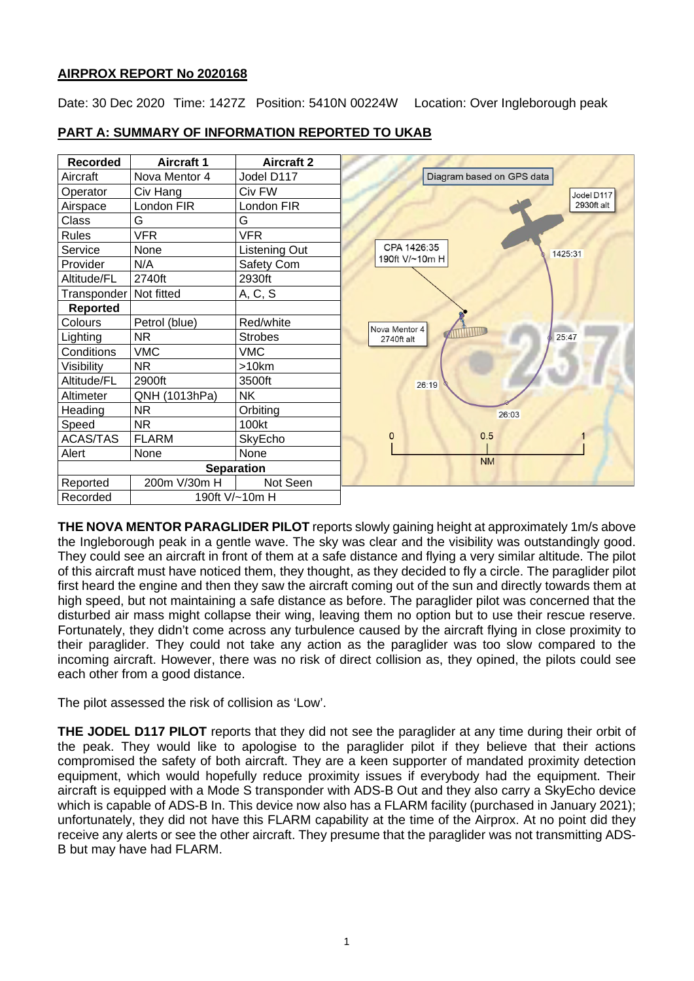## **AIRPROX REPORT No 2020168**

Date: 30 Dec 2020 Time: 1427Z Position: 5410N 00224W Location: Over Ingleborough peak



## **PART A: SUMMARY OF INFORMATION REPORTED TO UKAB**

**THE NOVA MENTOR PARAGLIDER PILOT** reports slowly gaining height at approximately 1m/s above the Ingleborough peak in a gentle wave. The sky was clear and the visibility was outstandingly good. They could see an aircraft in front of them at a safe distance and flying a very similar altitude. The pilot of this aircraft must have noticed them, they thought, as they decided to fly a circle. The paraglider pilot first heard the engine and then they saw the aircraft coming out of the sun and directly towards them at high speed, but not maintaining a safe distance as before. The paraglider pilot was concerned that the disturbed air mass might collapse their wing, leaving them no option but to use their rescue reserve. Fortunately, they didn't come across any turbulence caused by the aircraft flying in close proximity to their paraglider. They could not take any action as the paraglider was too slow compared to the incoming aircraft. However, there was no risk of direct collision as, they opined, the pilots could see each other from a good distance.

The pilot assessed the risk of collision as 'Low'.

**THE JODEL D117 PILOT** reports that they did not see the paraglider at any time during their orbit of the peak. They would like to apologise to the paraglider pilot if they believe that their actions compromised the safety of both aircraft. They are a keen supporter of mandated proximity detection equipment, which would hopefully reduce proximity issues if everybody had the equipment. Their aircraft is equipped with a Mode S transponder with ADS-B Out and they also carry a SkyEcho device which is capable of ADS-B In. This device now also has a FLARM facility (purchased in January 2021); unfortunately, they did not have this FLARM capability at the time of the Airprox. At no point did they receive any alerts or see the other aircraft. They presume that the paraglider was not transmitting ADS-B but may have had FLARM.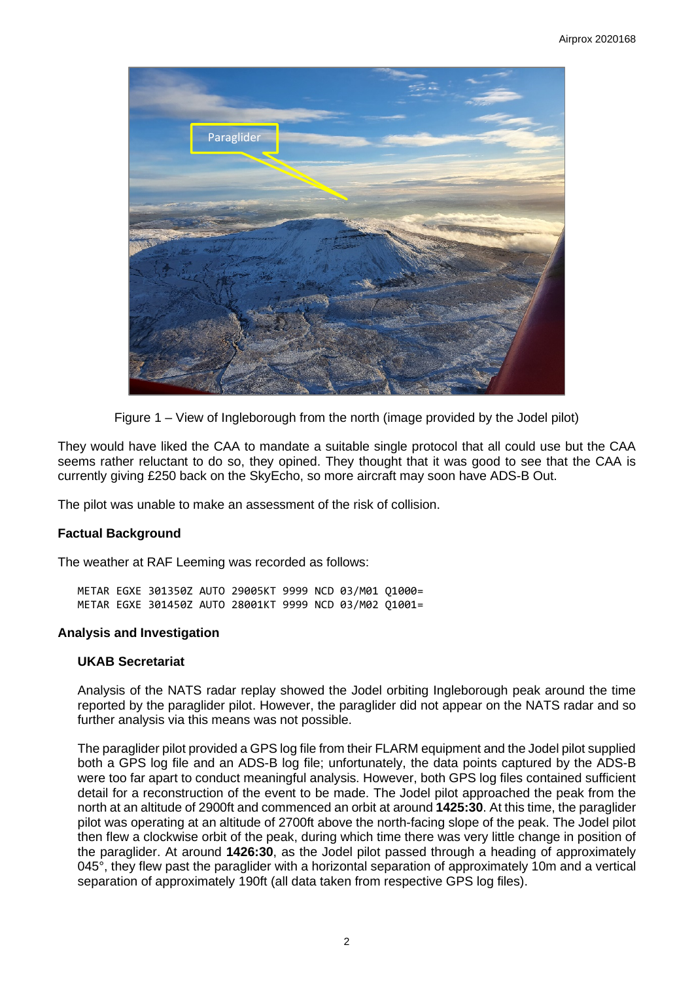

Figure 1 – View of Ingleborough from the north (image provided by the Jodel pilot)

They would have liked the CAA to mandate a suitable single protocol that all could use but the CAA seems rather reluctant to do so, they opined. They thought that it was good to see that the CAA is currently giving £250 back on the SkyEcho, so more aircraft may soon have ADS-B Out.

The pilot was unable to make an assessment of the risk of collision.

### **Factual Background**

The weather at RAF Leeming was recorded as follows:

METAR EGXE 301350Z AUTO 29005KT 9999 NCD 03/M01 Q1000= METAR EGXE 301450Z AUTO 28001KT 9999 NCD 03/M02 Q1001=

#### **Analysis and Investigation**

#### **UKAB Secretariat**

Analysis of the NATS radar replay showed the Jodel orbiting Ingleborough peak around the time reported by the paraglider pilot. However, the paraglider did not appear on the NATS radar and so further analysis via this means was not possible.

The paraglider pilot provided a GPS log file from their FLARM equipment and the Jodel pilot supplied both a GPS log file and an ADS-B log file; unfortunately, the data points captured by the ADS-B were too far apart to conduct meaningful analysis. However, both GPS log files contained sufficient detail for a reconstruction of the event to be made. The Jodel pilot approached the peak from the north at an altitude of 2900ft and commenced an orbit at around **1425:30**. At this time, the paraglider pilot was operating at an altitude of 2700ft above the north-facing slope of the peak. The Jodel pilot then flew a clockwise orbit of the peak, during which time there was very little change in position of the paraglider. At around **1426:30**, as the Jodel pilot passed through a heading of approximately 045°, they flew past the paraglider with a horizontal separation of approximately 10m and a vertical separation of approximately 190ft (all data taken from respective GPS log files).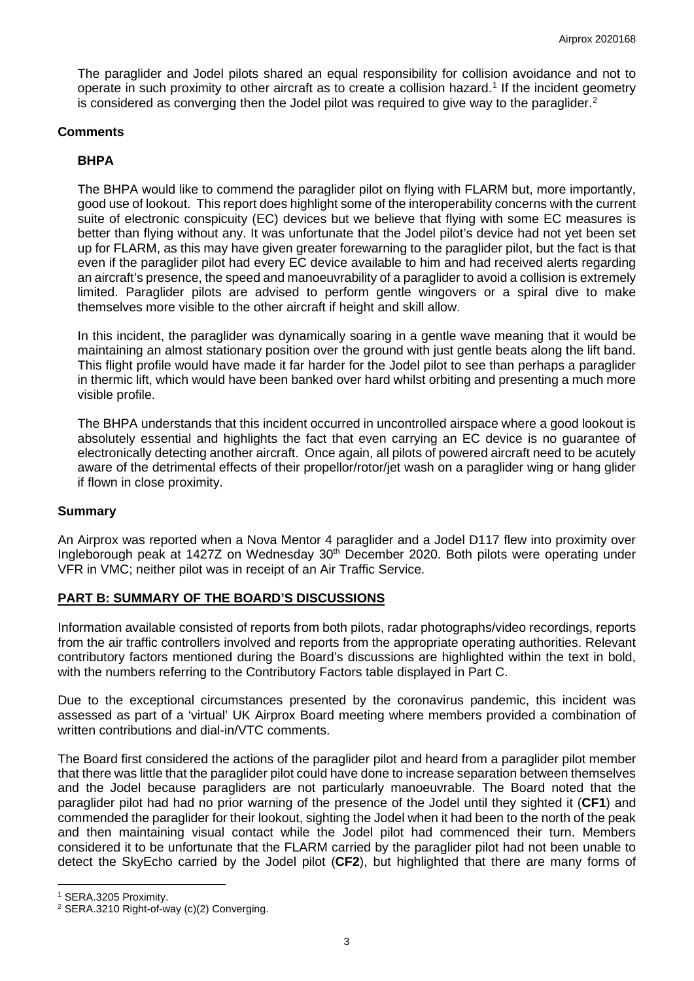The paraglider and Jodel pilots shared an equal responsibility for collision avoidance and not to operate in such proximity to other aircraft as to create a collision hazard. [1](#page-2-0) If the incident geometry is considered as converging then the Jodel pilot was required to give way to the paraglider.<sup>[2](#page-2-1)</sup>

## **Comments**

## **BHPA**

The BHPA would like to commend the paraglider pilot on flying with FLARM but, more importantly, good use of lookout. This report does highlight some of the interoperability concerns with the current suite of electronic conspicuity (EC) devices but we believe that flying with some EC measures is better than flying without any. It was unfortunate that the Jodel pilot's device had not yet been set up for FLARM, as this may have given greater forewarning to the paraglider pilot, but the fact is that even if the paraglider pilot had every EC device available to him and had received alerts regarding an aircraft's presence, the speed and manoeuvrability of a paraglider to avoid a collision is extremely limited. Paraglider pilots are advised to perform gentle wingovers or a spiral dive to make themselves more visible to the other aircraft if height and skill allow.

In this incident, the paraglider was dynamically soaring in a gentle wave meaning that it would be maintaining an almost stationary position over the ground with just gentle beats along the lift band. This flight profile would have made it far harder for the Jodel pilot to see than perhaps a paraglider in thermic lift, which would have been banked over hard whilst orbiting and presenting a much more visible profile.

The BHPA understands that this incident occurred in uncontrolled airspace where a good lookout is absolutely essential and highlights the fact that even carrying an EC device is no guarantee of electronically detecting another aircraft. Once again, all pilots of powered aircraft need to be acutely aware of the detrimental effects of their propellor/rotor/jet wash on a paraglider wing or hang glider if flown in close proximity.

### **Summary**

An Airprox was reported when a Nova Mentor 4 paraglider and a Jodel D117 flew into proximity over Ingleborough peak at 1427Z on Wednesday 30<sup>th</sup> December 2020. Both pilots were operating under VFR in VMC; neither pilot was in receipt of an Air Traffic Service.

## **PART B: SUMMARY OF THE BOARD'S DISCUSSIONS**

Information available consisted of reports from both pilots, radar photographs/video recordings, reports from the air traffic controllers involved and reports from the appropriate operating authorities. Relevant contributory factors mentioned during the Board's discussions are highlighted within the text in bold, with the numbers referring to the Contributory Factors table displayed in Part C.

Due to the exceptional circumstances presented by the coronavirus pandemic, this incident was assessed as part of a 'virtual' UK Airprox Board meeting where members provided a combination of written contributions and dial-in/VTC comments.

The Board first considered the actions of the paraglider pilot and heard from a paraglider pilot member that there was little that the paraglider pilot could have done to increase separation between themselves and the Jodel because paragliders are not particularly manoeuvrable. The Board noted that the paraglider pilot had had no prior warning of the presence of the Jodel until they sighted it (**CF1**) and commended the paraglider for their lookout, sighting the Jodel when it had been to the north of the peak and then maintaining visual contact while the Jodel pilot had commenced their turn. Members considered it to be unfortunate that the FLARM carried by the paraglider pilot had not been unable to detect the SkyEcho carried by the Jodel pilot (**CF2**), but highlighted that there are many forms of

<span id="page-2-0"></span><sup>1</sup> SERA.3205 Proximity.

<span id="page-2-1"></span><sup>&</sup>lt;sup>2</sup> SERA.3210 Right-of-way (c)(2) Converging.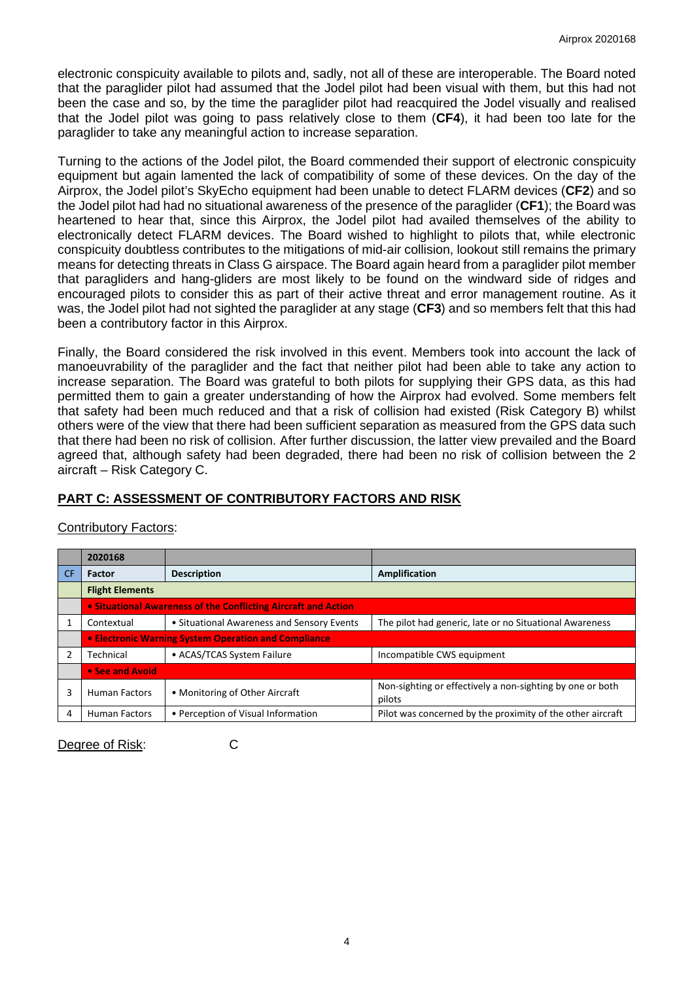electronic conspicuity available to pilots and, sadly, not all of these are interoperable. The Board noted that the paraglider pilot had assumed that the Jodel pilot had been visual with them, but this had not been the case and so, by the time the paraglider pilot had reacquired the Jodel visually and realised that the Jodel pilot was going to pass relatively close to them (**CF4**), it had been too late for the paraglider to take any meaningful action to increase separation.

Turning to the actions of the Jodel pilot, the Board commended their support of electronic conspicuity equipment but again lamented the lack of compatibility of some of these devices. On the day of the Airprox, the Jodel pilot's SkyEcho equipment had been unable to detect FLARM devices (**CF2**) and so the Jodel pilot had had no situational awareness of the presence of the paraglider (**CF1**); the Board was heartened to hear that, since this Airprox, the Jodel pilot had availed themselves of the ability to electronically detect FLARM devices. The Board wished to highlight to pilots that, while electronic conspicuity doubtless contributes to the mitigations of mid-air collision, lookout still remains the primary means for detecting threats in Class G airspace. The Board again heard from a paraglider pilot member that paragliders and hang-gliders are most likely to be found on the windward side of ridges and encouraged pilots to consider this as part of their active threat and error management routine. As it was, the Jodel pilot had not sighted the paraglider at any stage (**CF3**) and so members felt that this had been a contributory factor in this Airprox.

Finally, the Board considered the risk involved in this event. Members took into account the lack of manoeuvrability of the paraglider and the fact that neither pilot had been able to take any action to increase separation. The Board was grateful to both pilots for supplying their GPS data, as this had permitted them to gain a greater understanding of how the Airprox had evolved. Some members felt that safety had been much reduced and that a risk of collision had existed (Risk Category B) whilst others were of the view that there had been sufficient separation as measured from the GPS data such that there had been no risk of collision. After further discussion, the latter view prevailed and the Board agreed that, although safety had been degraded, there had been no risk of collision between the 2 aircraft – Risk Category C.

# **PART C: ASSESSMENT OF CONTRIBUTORY FACTORS AND RISK**

# Contributory Factors:

|           | 2020168                |                                                                |                                                                     |  |  |  |  |  |  |
|-----------|------------------------|----------------------------------------------------------------|---------------------------------------------------------------------|--|--|--|--|--|--|
| <b>CF</b> | <b>Factor</b>          | <b>Description</b>                                             | Amplification                                                       |  |  |  |  |  |  |
|           | <b>Flight Elements</b> |                                                                |                                                                     |  |  |  |  |  |  |
|           |                        | • Situational Awareness of the Conflicting Aircraft and Action |                                                                     |  |  |  |  |  |  |
|           | Contextual             | • Situational Awareness and Sensory Events                     | The pilot had generic, late or no Situational Awareness             |  |  |  |  |  |  |
|           |                        | <b>• Electronic Warning System Operation and Compliance</b>    |                                                                     |  |  |  |  |  |  |
|           | Technical              | • ACAS/TCAS System Failure                                     | Incompatible CWS equipment                                          |  |  |  |  |  |  |
|           | • See and Avoid        |                                                                |                                                                     |  |  |  |  |  |  |
| 3         | <b>Human Factors</b>   | • Monitoring of Other Aircraft                                 | Non-sighting or effectively a non-sighting by one or both<br>pilots |  |  |  |  |  |  |
| 4         | <b>Human Factors</b>   | • Perception of Visual Information                             | Pilot was concerned by the proximity of the other aircraft          |  |  |  |  |  |  |

Degree of Risk: C